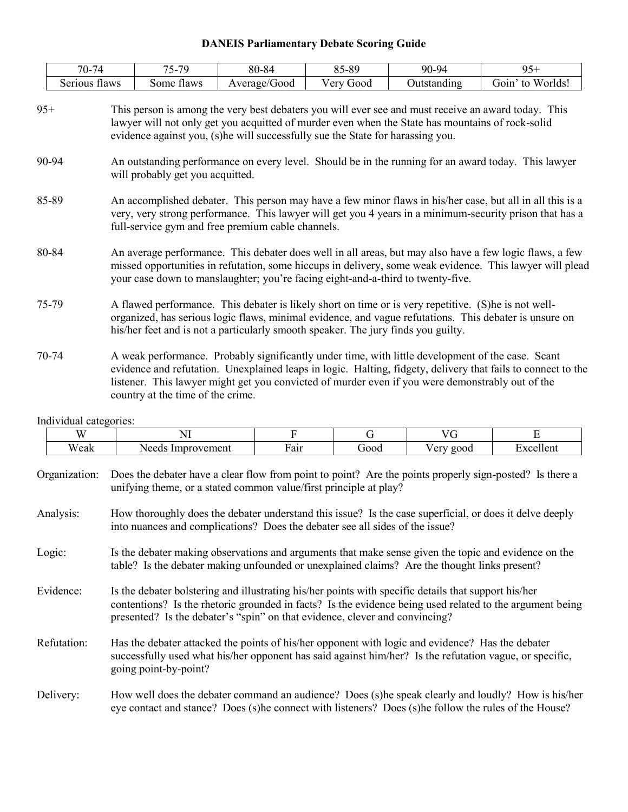## **DANEIS Parliamentary Debate Scoring Guide**

| 70-74<br>74             | 70<br>– –<br>$\mathbf{v}$ | 80-84            | $5 - 89$<br>Qς<br>ت ن | 90-94       | ∩∠                    |
|-------------------------|---------------------------|------------------|-----------------------|-------------|-----------------------|
| Serious<br><b>flaws</b> | some<br>flaws             | Good<br>Average/ | / ery<br>J00d         | Jutstandıng | Worlds!<br>G01n<br>to |

- 95+ This person is among the very best debaters you will ever see and must receive an award today. This lawyer will not only get you acquitted of murder even when the State has mountains of rock-solid evidence against you, (s)he will successfully sue the State for harassing you.
- 90-94 An outstanding performance on every level. Should be in the running for an award today. This lawyer will probably get you acquitted.
- 85-89 An accomplished debater. This person may have a few minor flaws in his/her case, but all in all this is a very, very strong performance. This lawyer will get you 4 years in a minimum-security prison that has a full-service gym and free premium cable channels.
- 80-84 An average performance. This debater does well in all areas, but may also have a few logic flaws, a few missed opportunities in refutation, some hiccups in delivery, some weak evidence. This lawyer will plead your case down to manslaughter; you're facing eight-and-a-third to twenty-five.
- 75-79 A flawed performance. This debater is likely short on time or is very repetitive. (S)he is not wellorganized, has serious logic flaws, minimal evidence, and vague refutations. This debater is unsure on his/her feet and is not a particularly smooth speaker. The jury finds you guilty.
- 70-74 A weak performance. Probably significantly under time, with little development of the case. Scant evidence and refutation. Unexplained leaps in logic. Halting, fidgety, delivery that fails to connect to the listener. This lawyer might get you convicted of murder even if you were demonstrably out of the country at the time of the crime.

Individual categories:

|        | W             | NI                                                                                                                                                                                                                                                                                              | F    | G    | VG        | E         |  |  |
|--------|---------------|-------------------------------------------------------------------------------------------------------------------------------------------------------------------------------------------------------------------------------------------------------------------------------------------------|------|------|-----------|-----------|--|--|
|        | Weak          | Needs Improvement                                                                                                                                                                                                                                                                               | Fair | Good | Very good | Excellent |  |  |
|        | Organization: | Does the debater have a clear flow from point to point? Are the points properly sign-posted? Is there a<br>unifying theme, or a stated common value/first principle at play?                                                                                                                    |      |      |           |           |  |  |
|        | Analysis:     | How thoroughly does the debater understand this issue? Is the case superficial, or does it delve deeply<br>into nuances and complications? Does the debater see all sides of the issue?                                                                                                         |      |      |           |           |  |  |
| Logic: |               | Is the debater making observations and arguments that make sense given the topic and evidence on the<br>table? Is the debater making unfounded or unexplained claims? Are the thought links present?                                                                                            |      |      |           |           |  |  |
|        | Evidence:     | Is the debater bolstering and illustrating his/her points with specific details that support his/her<br>contentions? Is the rhetoric grounded in facts? Is the evidence being used related to the argument being<br>presented? Is the debater's "spin" on that evidence, clever and convincing? |      |      |           |           |  |  |
|        | Refutation:   | Has the debater attacked the points of his/her opponent with logic and evidence? Has the debater<br>successfully used what his/her opponent has said against him/her? Is the refutation vague, or specific,<br>going point-by-point?                                                            |      |      |           |           |  |  |
|        | Delivery:     | How well does the debater command an audience? Does (s) he speak clearly and loudly? How is his/her<br>eye contact and stance? Does (s) he connect with listeners? Does (s) he follow the rules of the House?                                                                                   |      |      |           |           |  |  |